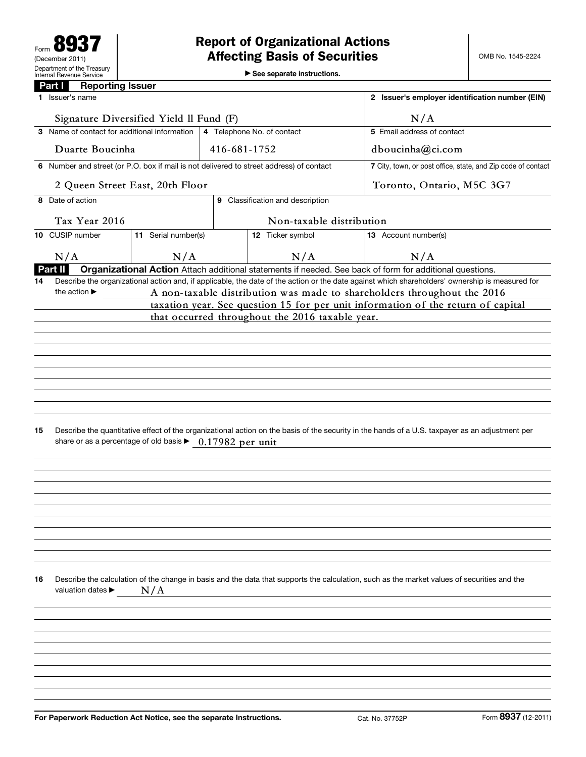▶ See separate instructions.

|                                                                                                                                                       | <b>Reporting Issuer</b><br>Part I                                                                                                                                                                           |                                              |                                  |                                                                                         |                                                                                                                                             |                                                              |  |  |  |
|-------------------------------------------------------------------------------------------------------------------------------------------------------|-------------------------------------------------------------------------------------------------------------------------------------------------------------------------------------------------------------|----------------------------------------------|----------------------------------|-----------------------------------------------------------------------------------------|---------------------------------------------------------------------------------------------------------------------------------------------|--------------------------------------------------------------|--|--|--|
|                                                                                                                                                       | 1 Issuer's name                                                                                                                                                                                             |                                              |                                  | 2 Issuer's employer identification number (EIN)                                         |                                                                                                                                             |                                                              |  |  |  |
|                                                                                                                                                       | Signature Diversified Yield Il Fund (F)                                                                                                                                                                     |                                              |                                  |                                                                                         | N/A                                                                                                                                         |                                                              |  |  |  |
|                                                                                                                                                       |                                                                                                                                                                                                             | 3 Name of contact for additional information |                                  | 4 Telephone No. of contact                                                              | 5 Email address of contact                                                                                                                  |                                                              |  |  |  |
|                                                                                                                                                       | Duarte Boucinha                                                                                                                                                                                             |                                              | 416-681-1752                     |                                                                                         |                                                                                                                                             | dboucinha@ci.com                                             |  |  |  |
|                                                                                                                                                       |                                                                                                                                                                                                             |                                              |                                  | 6 Number and street (or P.O. box if mail is not delivered to street address) of contact |                                                                                                                                             | 7 City, town, or post office, state, and Zip code of contact |  |  |  |
| 2 Queen Street East, 20th Floor                                                                                                                       |                                                                                                                                                                                                             |                                              |                                  |                                                                                         |                                                                                                                                             | Toronto, Ontario, M5C 3G7                                    |  |  |  |
|                                                                                                                                                       | 8 Date of action                                                                                                                                                                                            |                                              | 9 Classification and description |                                                                                         |                                                                                                                                             |                                                              |  |  |  |
|                                                                                                                                                       | Tax Year 2016                                                                                                                                                                                               |                                              |                                  | Non-taxable distribution                                                                |                                                                                                                                             |                                                              |  |  |  |
|                                                                                                                                                       | 10 CUSIP number                                                                                                                                                                                             | 11 Serial number(s)                          |                                  | 12 Ticker symbol                                                                        | 13 Account number(s)                                                                                                                        |                                                              |  |  |  |
|                                                                                                                                                       | N/A                                                                                                                                                                                                         | N/A                                          |                                  | N/A                                                                                     | N/A                                                                                                                                         |                                                              |  |  |  |
|                                                                                                                                                       | Part II                                                                                                                                                                                                     |                                              |                                  |                                                                                         | Organizational Action Attach additional statements if needed. See back of form for additional questions.                                    |                                                              |  |  |  |
| Describe the organizational action and, if applicable, the date of the action or the date against which shareholders' ownership is measured for<br>14 |                                                                                                                                                                                                             |                                              |                                  |                                                                                         |                                                                                                                                             |                                                              |  |  |  |
|                                                                                                                                                       | the action $\blacktriangleright$                                                                                                                                                                            |                                              |                                  |                                                                                         | A non-taxable distribution was made to shareholders throughout the 2016                                                                     |                                                              |  |  |  |
| taxation year. See question 15 for per unit information of the return of capital                                                                      |                                                                                                                                                                                                             |                                              |                                  |                                                                                         |                                                                                                                                             |                                                              |  |  |  |
|                                                                                                                                                       |                                                                                                                                                                                                             |                                              |                                  | that occurred throughout the 2016 taxable year.                                         |                                                                                                                                             |                                                              |  |  |  |
|                                                                                                                                                       |                                                                                                                                                                                                             |                                              |                                  |                                                                                         |                                                                                                                                             |                                                              |  |  |  |
|                                                                                                                                                       |                                                                                                                                                                                                             |                                              |                                  |                                                                                         |                                                                                                                                             |                                                              |  |  |  |
|                                                                                                                                                       |                                                                                                                                                                                                             |                                              |                                  |                                                                                         |                                                                                                                                             |                                                              |  |  |  |
|                                                                                                                                                       |                                                                                                                                                                                                             |                                              |                                  |                                                                                         |                                                                                                                                             |                                                              |  |  |  |
|                                                                                                                                                       |                                                                                                                                                                                                             |                                              |                                  |                                                                                         |                                                                                                                                             |                                                              |  |  |  |
|                                                                                                                                                       |                                                                                                                                                                                                             |                                              |                                  |                                                                                         |                                                                                                                                             |                                                              |  |  |  |
|                                                                                                                                                       |                                                                                                                                                                                                             |                                              |                                  |                                                                                         |                                                                                                                                             |                                                              |  |  |  |
| 15                                                                                                                                                    | Describe the quantitative effect of the organizational action on the basis of the security in the hands of a U.S. taxpayer as an adjustment per<br>share or as a percentage of old basis > 0.17982 per unit |                                              |                                  |                                                                                         |                                                                                                                                             |                                                              |  |  |  |
|                                                                                                                                                       |                                                                                                                                                                                                             |                                              |                                  |                                                                                         |                                                                                                                                             |                                                              |  |  |  |
|                                                                                                                                                       |                                                                                                                                                                                                             |                                              |                                  |                                                                                         |                                                                                                                                             |                                                              |  |  |  |
|                                                                                                                                                       |                                                                                                                                                                                                             |                                              |                                  |                                                                                         |                                                                                                                                             |                                                              |  |  |  |
|                                                                                                                                                       |                                                                                                                                                                                                             |                                              |                                  |                                                                                         |                                                                                                                                             |                                                              |  |  |  |
|                                                                                                                                                       |                                                                                                                                                                                                             |                                              |                                  |                                                                                         |                                                                                                                                             |                                                              |  |  |  |
|                                                                                                                                                       |                                                                                                                                                                                                             |                                              |                                  |                                                                                         |                                                                                                                                             |                                                              |  |  |  |
|                                                                                                                                                       |                                                                                                                                                                                                             |                                              |                                  |                                                                                         |                                                                                                                                             |                                                              |  |  |  |
|                                                                                                                                                       |                                                                                                                                                                                                             |                                              |                                  |                                                                                         |                                                                                                                                             |                                                              |  |  |  |
| 16                                                                                                                                                    | valuation dates ▶                                                                                                                                                                                           | N/A                                          |                                  |                                                                                         | Describe the calculation of the change in basis and the data that supports the calculation, such as the market values of securities and the |                                                              |  |  |  |
|                                                                                                                                                       |                                                                                                                                                                                                             |                                              |                                  |                                                                                         |                                                                                                                                             |                                                              |  |  |  |
|                                                                                                                                                       |                                                                                                                                                                                                             |                                              |                                  |                                                                                         |                                                                                                                                             |                                                              |  |  |  |
|                                                                                                                                                       |                                                                                                                                                                                                             |                                              |                                  |                                                                                         |                                                                                                                                             |                                                              |  |  |  |
|                                                                                                                                                       |                                                                                                                                                                                                             |                                              |                                  |                                                                                         |                                                                                                                                             |                                                              |  |  |  |
|                                                                                                                                                       |                                                                                                                                                                                                             |                                              |                                  |                                                                                         |                                                                                                                                             |                                                              |  |  |  |
|                                                                                                                                                       |                                                                                                                                                                                                             |                                              |                                  |                                                                                         |                                                                                                                                             |                                                              |  |  |  |
|                                                                                                                                                       |                                                                                                                                                                                                             |                                              |                                  |                                                                                         |                                                                                                                                             |                                                              |  |  |  |
|                                                                                                                                                       |                                                                                                                                                                                                             |                                              |                                  |                                                                                         |                                                                                                                                             |                                                              |  |  |  |
|                                                                                                                                                       | For Paperwork Reduction Act Notice, see the separate Instructions.                                                                                                                                          |                                              |                                  |                                                                                         | Cat. No. 37752P                                                                                                                             | Form 8937 (12-2011)                                          |  |  |  |